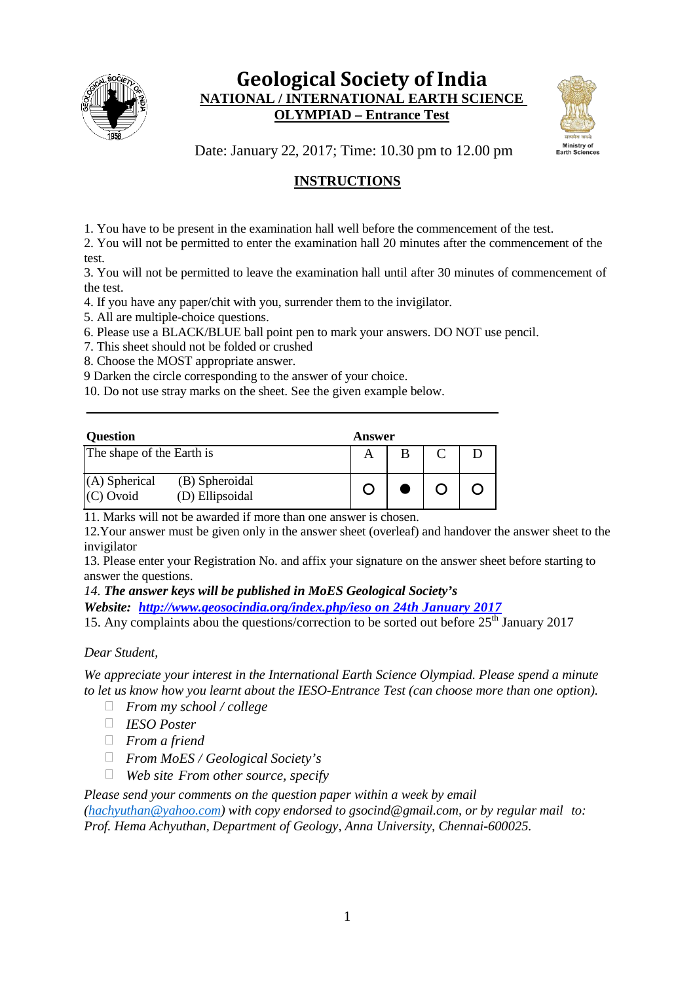

# **Geological Society of India NATIONAL / INTERNATIONAL EARTH SCIENCE OLYMPIAD – Entrance Test**



Date: January 22, 2017; Time: 10.30 pm to 12.00 pm

# **INSTRUCTIONS**

1. You have to be present in the examination hall well before the commencement of the test.

2. You will not be permitted to enter the examination hall 20 minutes after the commencement of the test.

3. You will not be permitted to leave the examination hall until after 30 minutes of commencement of the test.

4. If you have any paper/chit with you, surrender them to the invigilator.

- 5. All are multiple-choice questions.
- 6. Please use a BLACK/BLUE ball point pen to mark your answers. DO NOT use pencil.

7. This sheet should not be folded or crushed

8. Choose the MOST appropriate answer.

9 Darken the circle corresponding to the answer of your choice.

10. Do not use stray marks on the sheet. See the given example below.

| <b>Question</b>                |                                   | Answer |  |  |  |  |  |  |  |  |
|--------------------------------|-----------------------------------|--------|--|--|--|--|--|--|--|--|
| The shape of the Earth is      |                                   |        |  |  |  |  |  |  |  |  |
| $(A)$ Spherical<br>$(C)$ Ovoid | (B) Spheroidal<br>(D) Ellipsoidal |        |  |  |  |  |  |  |  |  |

11. Marks will not be awarded if more than one answer is chosen.

12.Your answer must be given only in the answer sheet (overleaf) and handover the answer sheet to the invigilator

13. Please enter your Registration No. and affix your signature on the answer sheet before starting to answer the questions.

*14. The answer keys will be published in MoES Geological Society's* 

*Website: [http://www.geosocindia.org/index.php/ieso](http://www.geosocindia.org/index.php/ieso%20on%2024th%20January%202017) on 24th January 2017*

15. Any complaints abou the questions/correction to be sorted out before  $25<sup>th</sup>$  January 2017

### *Dear Student,*

*We appreciate your interest in the International Earth Science Olympiad. Please spend a minute to let us know how you learnt about the IESO-Entrance Test (can choose more than one option).*

- *From my school / college*
- *IESO Poster*
- *From a friend*
- *From MoES / Geological Society's*
- *Web site From other source, specify*

*Please send your comments on the question paper within a week by email*

*[\(hachyuthan@yahoo.com\)](mailto:hachyuthan@yahoo.com) with copy endorsed to [gsocind@gmail.com,](mailto:gsocind@gmail.com) or by regular mail to: Prof. Hema Achyuthan, Department of Geology, Anna University, Chennai-600025.*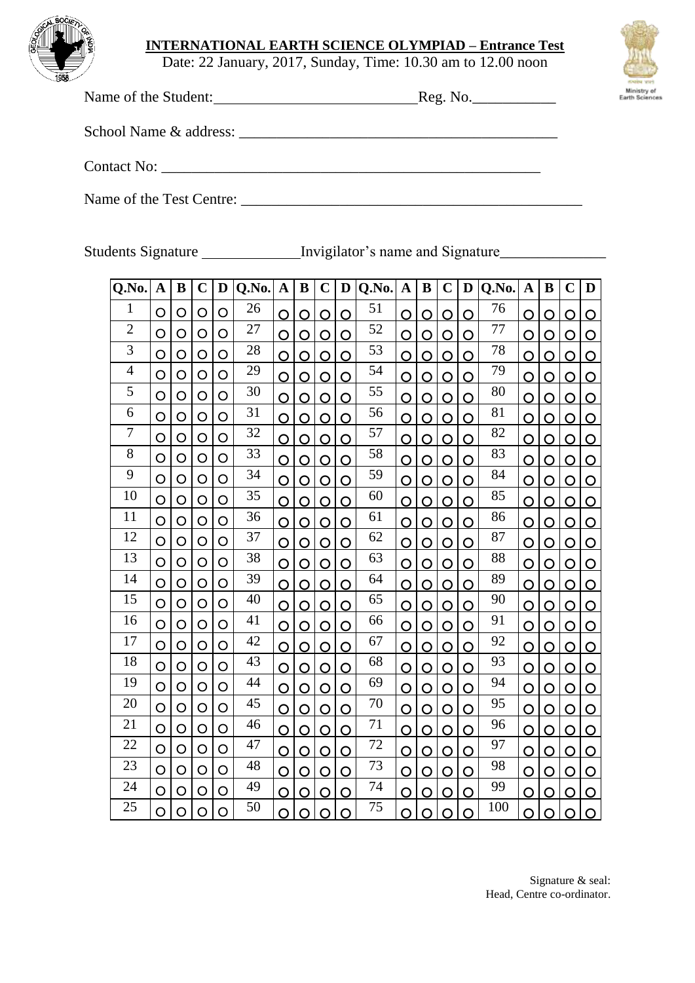

## **INTERNATIONAL EARTH SCIENCE OLYMPIAD – Entrance Test**

Date: 22 January, 2017, Sunday, Time: 10.30 am to 12.00 noon

Name of the Student: Reg. No.\_\_\_\_\_\_\_\_\_\_\_



School Name & address: \_\_\_\_\_\_\_\_\_\_\_\_\_\_\_\_\_\_\_\_\_\_\_\_\_\_\_\_\_\_\_\_\_\_\_\_\_\_\_\_\_\_

Contact No: \_\_\_\_\_\_\_\_\_\_\_\_\_\_\_\_\_\_\_\_\_\_\_\_\_\_\_\_\_\_\_\_\_\_\_\_\_\_\_\_\_\_\_\_\_\_\_\_\_\_

Name of the Test Centre: \_\_\_\_\_\_\_\_\_\_\_\_\_\_\_\_\_\_\_\_\_\_\_\_\_\_\_\_\_\_\_\_\_\_\_\_\_\_\_\_\_\_\_\_\_

Students Signature Invigilator's name and Signature

| Q.No.          | A | B | $\mathbf C$ | D       | Q.No.           | A | B | $\mathbf C$ | D | Q.No. | $\mathbf A$ | B | $\mathbf C$ | D        | Q.No. | $\mathbf A$ | B | $\mathbf C$ | D |
|----------------|---|---|-------------|---------|-----------------|---|---|-------------|---|-------|-------------|---|-------------|----------|-------|-------------|---|-------------|---|
| 1              | O | O | O           | O       | 26              | Ó | O | O           | O | 51    | O           | O | O           | O        | 76    | O           | O | O           | O |
| $\overline{2}$ | O | O | O           | O       | 27              | O | O | O           | O | 52    | O           | O | O           | O        | 77    | O           | O | O           | O |
| 3              | O | O | $\circ$     | O       | 28              | O | O | O           | O | 53    | O           | O | O           | O        | 78    | O           | O | O           | O |
| $\overline{4}$ | O | O | O           | $\circ$ | 29              | O | O | O           | O | 54    | O           | O | O           | O        | 79    | O           | O | O           | O |
| 5              | O | O | O           | O       | 30              | O | O | O           | O | 55    | O           | O | O           | O        | 80    | O           | O | O           | O |
| 6              | O | O | O           | O       | 31              | O | O | O           | O | 56    | O           | O | O           | <u>ဝ</u> | 81    | O           | O | O           | O |
| 7              | O | О | O           | О       | 32              | O | O | O           | O | 57    | O           | O | O           | O        | 82    | O           | O | O           | O |
| 8              | O | O | O           | O       | 33              | O | O | O           | O | 58    | O           | O | O           | O        | 83    | O           | O | O           | O |
| 9              | O | O | $\circ$     | O       | 34              | O | O | O           | O | 59    | O           | O | O           | O        | 84    | O           | O | O           | O |
| 10             | O | O | $\circ$     | O       | 35              | O | O | O           | O | 60    | O           | O | O           | O        | 85    | O           | O | O           | O |
| 11             | O | O | O           | O       | $\overline{3}6$ | O | O | O           | O | 61    | O           | O | O           | O        | 86    | O           | O | O           | O |
| 12             | O | O | O           | O       | 37              | O | O | O           | O | 62    | O           | O | O           | O        | 87    | O           | O | O           | O |
| 13             | O | O | O           | O       | 38              | O | O | O           | O | 63    | O           | O | O           | O        | 88    | O           | O | O           | O |
| 14             | O | O | O           | O       | 39              | O | O | O           | O | 64    | O           | O | O           | O        | 89    | O           | O | O           | O |
| 15             | O | O | $\circ$     | O       | 40              | O | O | O           | O | 65    | O           | O | O           | O        | 90    | O           | O | O           | O |
| 16             | O | О | $\circ$     | О       | 41              | O | O | O           | O | 66    | O           | O | O           | O        | 91    | O           | O | O           | O |
| 17             | O | O | O           | O       | 42              | O | O | O           | O | 67    | O           | O | O           | O        | 92    | O           | O | O           | O |
| 18             | O | O | O           | O       | 43              | Ó | O | O           | O | 68    | O           | O | O           | O        | 93    | O           | O | O           | O |
| 19             | O | O | O           | O       | 44              | O | O | O           | O | 69    | O           | O | O           | O        | 94    | O           | O | O           | O |
| 20             | O | O | O           | O       | 45              | O | O | O           | O | 70    | O           | O | O           | O        | 95    | O           | O | O           | O |
| 21             | O | O | O           | O       | 46              | O | O | O           | O | 71    | O           | O | O           | O        | 96    | O           | O | O           | O |
| 22             | O | O | $\circ$     | O       | 47              | O | O | O           | O | 72    | O           | O | O           | O        | 97    | O           | O | O           | O |
| 23             | O | O | O           | O       | 48              | O | O | O           | O | 73    | O           | O | O           | O        | 98    | O           | O | O           | O |
| 24             | O | O | O           | O       | 49              | O | O | O           | O | 74    | O           | O | O           | O        | 99    | O           | O | O           | O |
| 25             | O | O | O           | O       | 50              | O | O | O           | O | 75    | O           | O | O           | O        | 100   | O           | O | O           | O |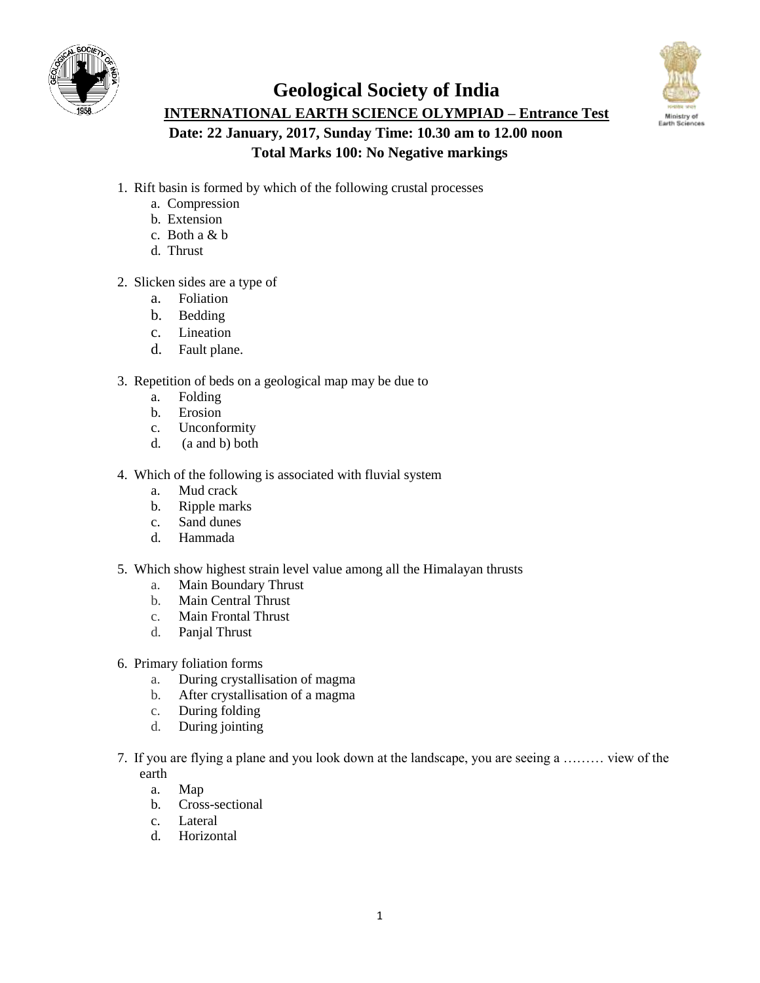





- 1. Rift basin is formed by which of the following crustal processes
	- a. Compression
	- b. Extension
	- c. Both a & b
	- d. Thrust
- 2. Slicken sides are a type of
	- a. Foliation
	- b. Bedding
	- c. Lineation
	- d. Fault plane.
- 3. Repetition of beds on a geological map may be due to
	- a. Folding
	- b. Erosion
	- c. Unconformity
	- d. (a and b) both
- 4. Which of the following is associated with fluvial system
	- a. Mud crack
	- b. Ripple marks
	- c. Sand dunes
	- d. Hammada
- 5. Which show highest strain level value among all the Himalayan thrusts
	- a. Main Boundary Thrust
	- b. Main Central Thrust
	- c. Main Frontal Thrust
	- d. Panjal Thrust
- 6. Primary foliation forms
	- a. During crystallisation of magma
	- b. After crystallisation of a magma
	- c. During folding<br>d. During jointing
	- During jointing
- 7. If you are flying a plane and you look down at the landscape, you are seeing a ……… view of the earth
	- a. Map
	- b. Cross-sectional
	- c. Lateral
	- d. Horizontal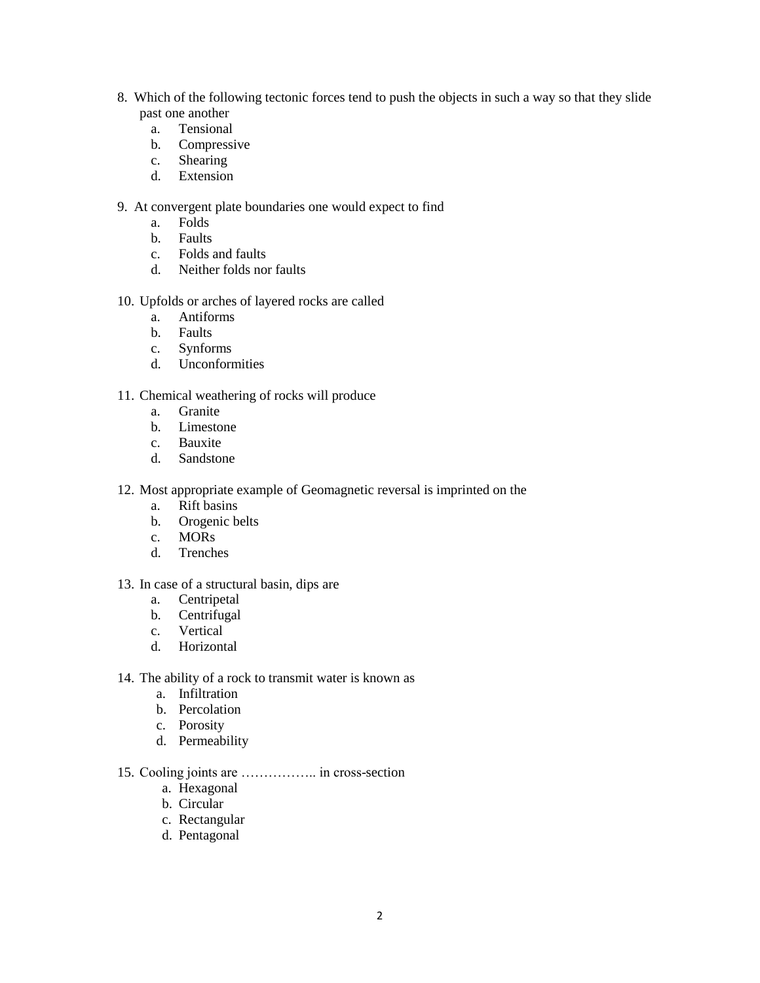- 8. Which of the following tectonic forces tend to push the objects in such a way so that they slide past one another
	- a. Tensional
	- b. Compressive
	- c. Shearing
	- d. Extension
- 9. At convergent plate boundaries one would expect to find
	- a. Folds
	- b. Faults
	- c. Folds and faults
	- d. Neither folds nor faults
- 10. Upfolds or arches of layered rocks are called
	- a. Antiforms
	- b. Faults
	- c. Synforms
	- d. Unconformities
- 11. Chemical weathering of rocks will produce
	- a. Granite
	- b. Limestone
	- c. Bauxite<br>d. Sandston
	- Sandstone
- 12. Most appropriate example of Geomagnetic reversal is imprinted on the
	- a. Rift basins
	- b. Orogenic belts
	- c. MORs
	- d. Trenches
- 13. In case of a structural basin, dips are
	- a. Centripetal
	- b. Centrifugal
	- c. Vertical
	- d. Horizontal
- 14. The ability of a rock to transmit water is known as
	- a. Infiltration
	- b. Percolation
	- c. Porosity
	- d. Permeability
- 15. Cooling joints are …………….. in cross-section
	- a. Hexagonal
	- b. Circular
	- c. Rectangular
	- d. Pentagonal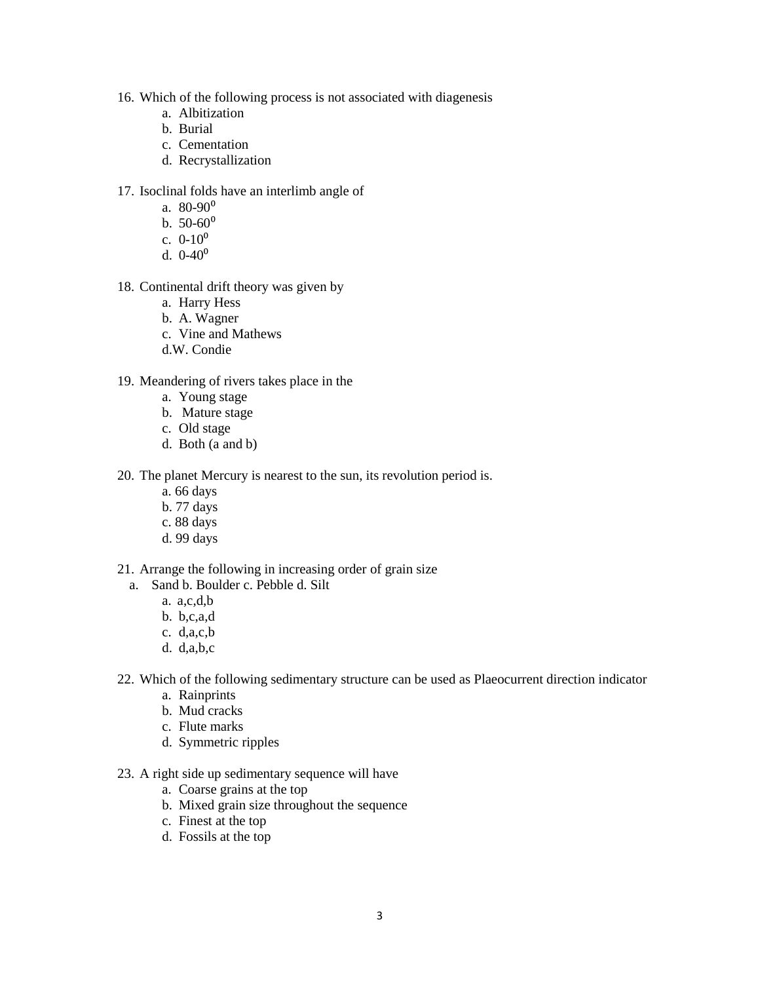- 16. Which of the following process is not associated with diagenesis
	- a. Albitization
	- b. Burial
	- c. Cementation
	- d. Recrystallization
- 17. Isoclinal folds have an interlimb angle of
	- a.  $80 90^{\circ}$
	- b.  $50-60^{\circ}$
	- c.  $0-10^0$
	- d.  $0-40^0$
- 18. Continental drift theory was given by
	- a. Harry Hess
	- b. A. Wagner
	- c. Vine and Mathews
	- d.W. Condie
- 19. Meandering of rivers takes place in the
	- a. Young stage
	- b. Mature stage
	- c. Old stage
	- d. Both (a and b)
- 20. The planet Mercury is nearest to the sun, its revolution period is.
	- a. 66 days
	- b. 77 days
	- c. 88 days
	- d. 99 days
- 21. Arrange the following in increasing order of grain size
	- a. Sand b. Boulder c. Pebble d. Silt
		- a. a,c,d,b
		- b. b,c,a,d
		- c. d,a,c,b
		- d. d,a,b,c
- 22. Which of the following sedimentary structure can be used as Plaeocurrent direction indicator
	- a. Rainprints
	- b. Mud cracks
	- c. Flute marks
	- d. Symmetric ripples
- 23. A right side up sedimentary sequence will have
	- a. Coarse grains at the top
	- b. Mixed grain size throughout the sequence
	- c. Finest at the top
	- d. Fossils at the top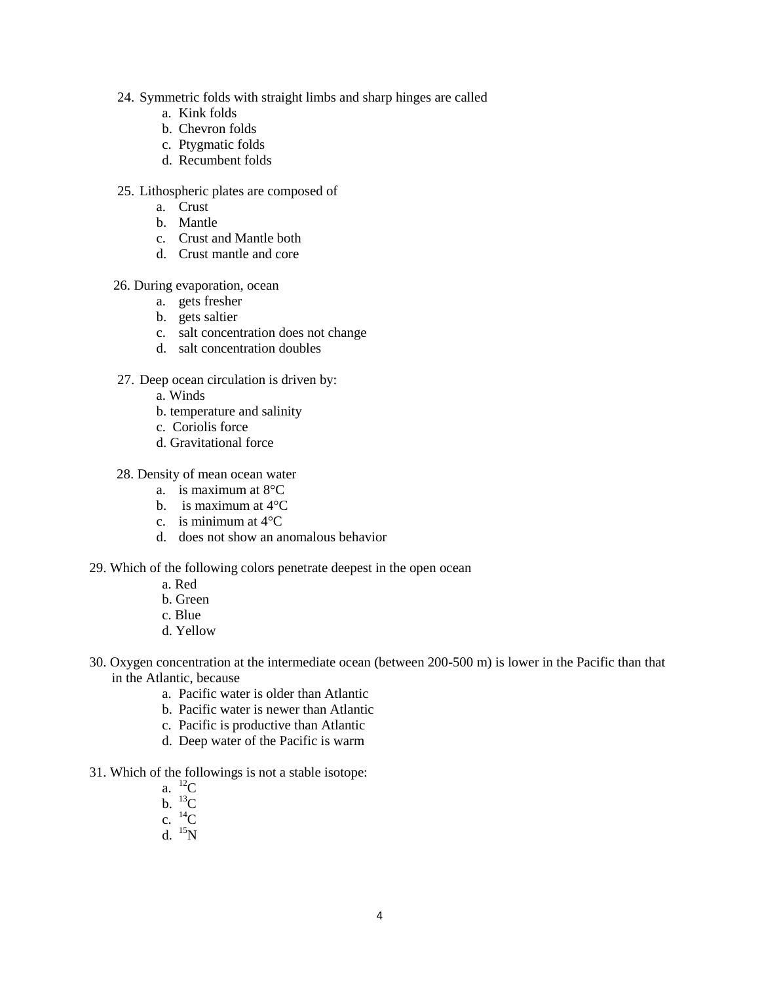- 24. Symmetric folds with straight limbs and sharp hinges are called
	- a. Kink folds
	- b. Chevron folds
	- c. Ptygmatic folds
	- d. Recumbent folds
- 25. Lithospheric plates are composed of
	- a. Crust
	- b. Mantle
	- c. Crust and Mantle both
	- d. Crust mantle and core
- 26. During evaporation, ocean
	- a. gets fresher
	- b. gets saltier
	- c. salt concentration does not change
	- d. salt concentration doubles
- 27. Deep ocean circulation is driven by:
	- a. Winds
	- b. temperature and salinity
	- c. Coriolis force
	- d. Gravitational force
- 28. Density of mean ocean water
	- a. is maximum at 8°C
	- b. is maximum at 4°C
	- c. is minimum at  $4^{\circ}$ C.
	- d. does not show an anomalous behavior
- 29. Which of the following colors penetrate deepest in the open ocean
	- a. Red
	- b. Green
	- c. Blue
	- d. Yellow
- 30. Oxygen concentration at the intermediate ocean (between 200-500 m) is lower in the Pacific than that in the Atlantic, because
	- a. Pacific water is older than Atlantic
	- b. Pacific water is newer than Atlantic
	- c. Pacific is productive than Atlantic
	- d. Deep water of the Pacific is warm
- 31. Which of the followings is not a stable isotope:
	- a.  ${}^{12}C$
	- $h^{-13}C$
	- c.  ${}^{14}C$
	- d.  $^{15}N$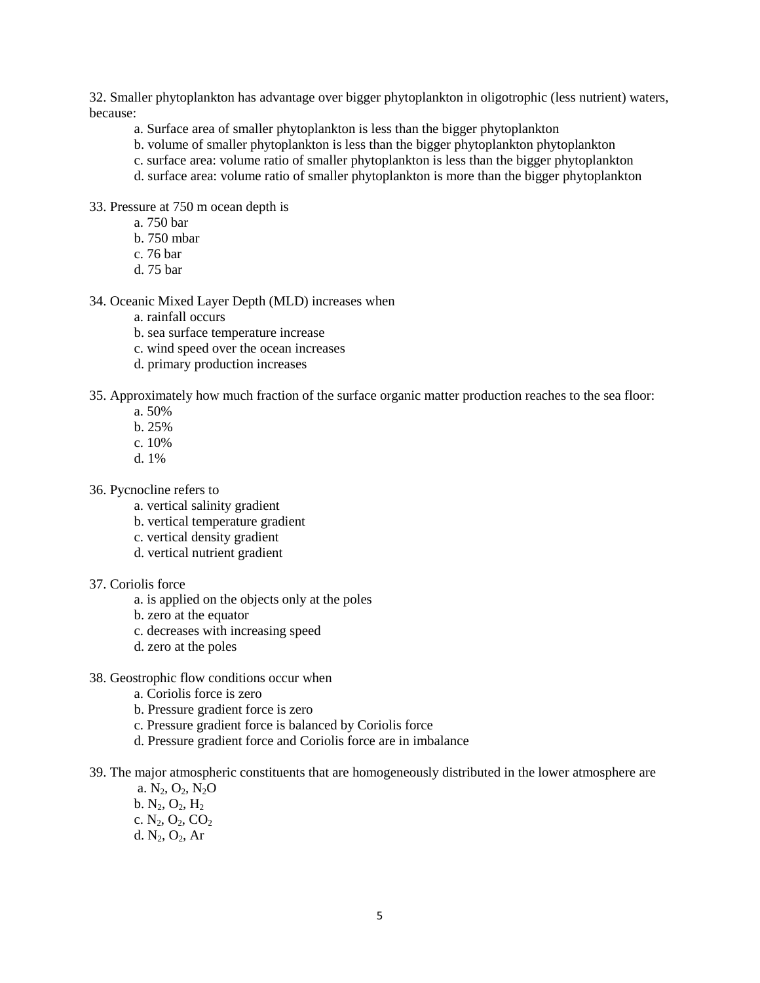32. Smaller phytoplankton has advantage over bigger phytoplankton in oligotrophic (less nutrient) waters, because:

- a. Surface area of smaller phytoplankton is less than the bigger phytoplankton
- b. volume of smaller phytoplankton is less than the bigger phytoplankton phytoplankton
- c. surface area: volume ratio of smaller phytoplankton is less than the bigger phytoplankton
- d. surface area: volume ratio of smaller phytoplankton is more than the bigger phytoplankton

33. Pressure at 750 m ocean depth is

- a. 750 bar
- b. 750 mbar
- c. 76 bar
- d. 75 bar

#### 34. Oceanic Mixed Layer Depth (MLD) increases when

- a. rainfall occurs
- b. sea surface temperature increase
- c. wind speed over the ocean increases
- d. primary production increases

35. Approximately how much fraction of the surface organic matter production reaches to the sea floor:

- a. 50%
- b. 25%
- c. 10%
- d. 1%
- 36. Pycnocline refers to
	- a. vertical salinity gradient
	- b. vertical temperature gradient
	- c. vertical density gradient
	- d. vertical nutrient gradient
- 37. Coriolis force
	- a. is applied on the objects only at the poles
	- b. zero at the equator
	- c. decreases with increasing speed
	- d. zero at the poles
- 38. Geostrophic flow conditions occur when
	- a. Coriolis force is zero
	- b. Pressure gradient force is zero
	- c. Pressure gradient force is balanced by Coriolis force
	- d. Pressure gradient force and Coriolis force are in imbalance
- 39. The major atmospheric constituents that are homogeneously distributed in the lower atmosphere are
	- a.  $N_2$ ,  $O_2$ ,  $N_2O$ b.  $N_2$ ,  $O_2$ ,  $H_2$ c.  $N_2$ ,  $O_2$ ,  $CO_2$ d.  $N_2$ ,  $O_2$ , Ar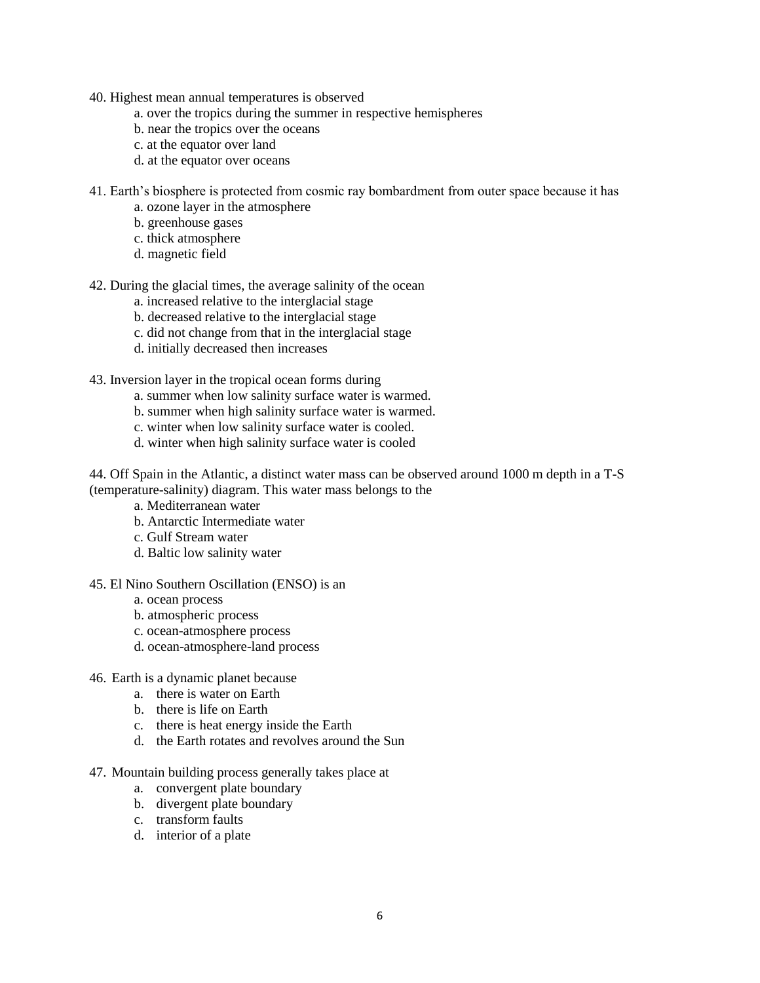- 40. Highest mean annual temperatures is observed
	- a. over the tropics during the summer in respective hemispheres
	- b. near the tropics over the oceans
	- c. at the equator over land
	- d. at the equator over oceans
- 41. Earth's biosphere is protected from cosmic ray bombardment from outer space because it has
	- a. ozone layer in the atmosphere
	- b. greenhouse gases
	- c. thick atmosphere
	- d. magnetic field
- 42. During the glacial times, the average salinity of the ocean
	- a. increased relative to the interglacial stage
	- b. decreased relative to the interglacial stage
	- c. did not change from that in the interglacial stage
	- d. initially decreased then increases
- 43. Inversion layer in the tropical ocean forms during
	- a. summer when low salinity surface water is warmed.
	- b. summer when high salinity surface water is warmed.
	- c. winter when low salinity surface water is cooled.
	- d. winter when high salinity surface water is cooled
- 44. Off Spain in the Atlantic, a distinct water mass can be observed around 1000 m depth in a T-S (temperature-salinity) diagram. This water mass belongs to the
	- a. Mediterranean water
	- b. Antarctic Intermediate water
	- c. Gulf Stream water
	- d. Baltic low salinity water

#### 45. El Nino Southern Oscillation (ENSO) is an

- a. ocean process
- b. atmospheric process
- c. ocean-atmosphere process
- d. ocean-atmosphere-land process
- 46. Earth is a dynamic planet because
	- a. there is water on Earth
	- b. there is life on Earth
	- c. there is heat energy inside the Earth
	- d. the Earth rotates and revolves around the Sun
- 47. Mountain building process generally takes place at
	- a. convergent plate boundary
	- b. divergent plate boundary
	- c. transform faults
	- d. interior of a plate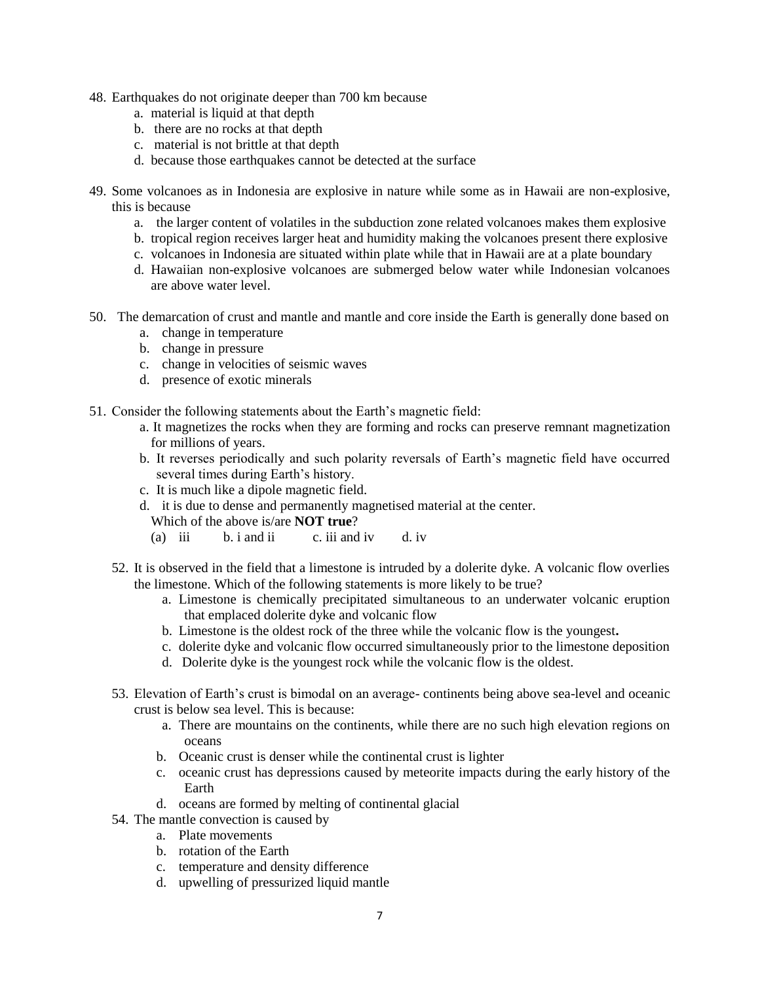- 48. Earthquakes do not originate deeper than 700 km because
	- a. material is liquid at that depth
	- b. there are no rocks at that depth
	- c. material is not brittle at that depth
	- d. because those earthquakes cannot be detected at the surface
- 49. Some volcanoes as in Indonesia are explosive in nature while some as in Hawaii are non-explosive, this is because
	- a. the larger content of volatiles in the subduction zone related volcanoes makes them explosive
	- b. tropical region receives larger heat and humidity making the volcanoes present there explosive
	- c. volcanoes in Indonesia are situated within plate while that in Hawaii are at a plate boundary
	- d. Hawaiian non-explosive volcanoes are submerged below water while Indonesian volcanoes are above water level.
- 50. The demarcation of crust and mantle and mantle and core inside the Earth is generally done based on
	- a. change in temperature
	- b. change in pressure
	- c. change in velocities of seismic waves
	- d. presence of exotic minerals
- 51. Consider the following statements about the Earth's magnetic field:
	- a. It magnetizes the rocks when they are forming and rocks can preserve remnant magnetization for millions of years.
	- b. It reverses periodically and such polarity reversals of Earth's magnetic field have occurred several times during Earth's history.
	- c. It is much like a dipole magnetic field.
	- d. it is due to dense and permanently magnetised material at the center.
		- Which of the above is/are **NOT true**?
		- (a) iii b. i and ii c. iii and iv d. iv
	- 52. It is observed in the field that a limestone is intruded by a dolerite dyke. A volcanic flow overlies the limestone. Which of the following statements is more likely to be true?
		- a. Limestone is chemically precipitated simultaneous to an underwater volcanic eruption that emplaced dolerite dyke and volcanic flow
		- b. Limestone is the oldest rock of the three while the volcanic flow is the youngest**.**
		- c. dolerite dyke and volcanic flow occurred simultaneously prior to the limestone deposition
		- d. Dolerite dyke is the youngest rock while the volcanic flow is the oldest.
	- 53. Elevation of Earth's crust is bimodal on an average- continents being above sea-level and oceanic crust is below sea level. This is because:
		- a. There are mountains on the continents, while there are no such high elevation regions on oceans
		- b. Oceanic crust is denser while the continental crust is lighter
		- c. oceanic crust has depressions caused by meteorite impacts during the early history of the Earth
		- d. oceans are formed by melting of continental glacial
	- 54. The mantle convection is caused by
		- a. Plate movements
		- b. rotation of the Earth
		- c. temperature and density difference
		- d. upwelling of pressurized liquid mantle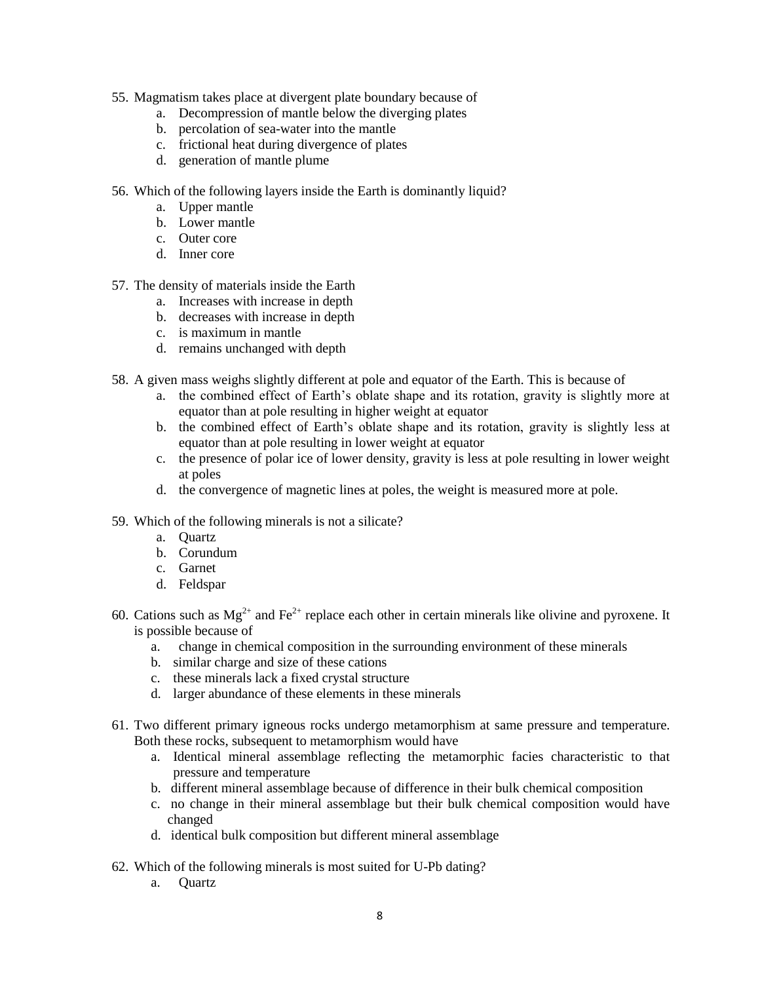- 55. Magmatism takes place at divergent plate boundary because of
	- a. Decompression of mantle below the diverging plates
	- b. percolation of sea-water into the mantle
	- c. frictional heat during divergence of plates
	- d. generation of mantle plume
- 56. Which of the following layers inside the Earth is dominantly liquid?
	- a. Upper mantle
	- b. Lower mantle
	- c. Outer core
	- d. Inner core
- 57. The density of materials inside the Earth
	- a. Increases with increase in depth
	- b. decreases with increase in depth
	- c. is maximum in mantle
	- d. remains unchanged with depth
- 58. A given mass weighs slightly different at pole and equator of the Earth. This is because of
	- a. the combined effect of Earth's oblate shape and its rotation, gravity is slightly more at equator than at pole resulting in higher weight at equator
	- b. the combined effect of Earth's oblate shape and its rotation, gravity is slightly less at equator than at pole resulting in lower weight at equator
	- c. the presence of polar ice of lower density, gravity is less at pole resulting in lower weight at poles
	- d. the convergence of magnetic lines at poles, the weight is measured more at pole.
- 59. Which of the following minerals is not a silicate?
	- a. Quartz
	- b. Corundum
	- c. Garnet
	- d. Feldspar
- 60. Cations such as  $Mg^{2+}$  and Fe<sup>2+</sup> replace each other in certain minerals like olivine and pyroxene. It is possible because of
	- a. change in chemical composition in the surrounding environment of these minerals
	- b. similar charge and size of these cations
	- c. these minerals lack a fixed crystal structure
	- d. larger abundance of these elements in these minerals
- 61. Two different primary igneous rocks undergo metamorphism at same pressure and temperature. Both these rocks, subsequent to metamorphism would have
	- a. Identical mineral assemblage reflecting the metamorphic facies characteristic to that pressure and temperature
	- b. different mineral assemblage because of difference in their bulk chemical composition
	- c. no change in their mineral assemblage but their bulk chemical composition would have changed
	- d. identical bulk composition but different mineral assemblage
- 62. Which of the following minerals is most suited for U-Pb dating?
	- a. Quartz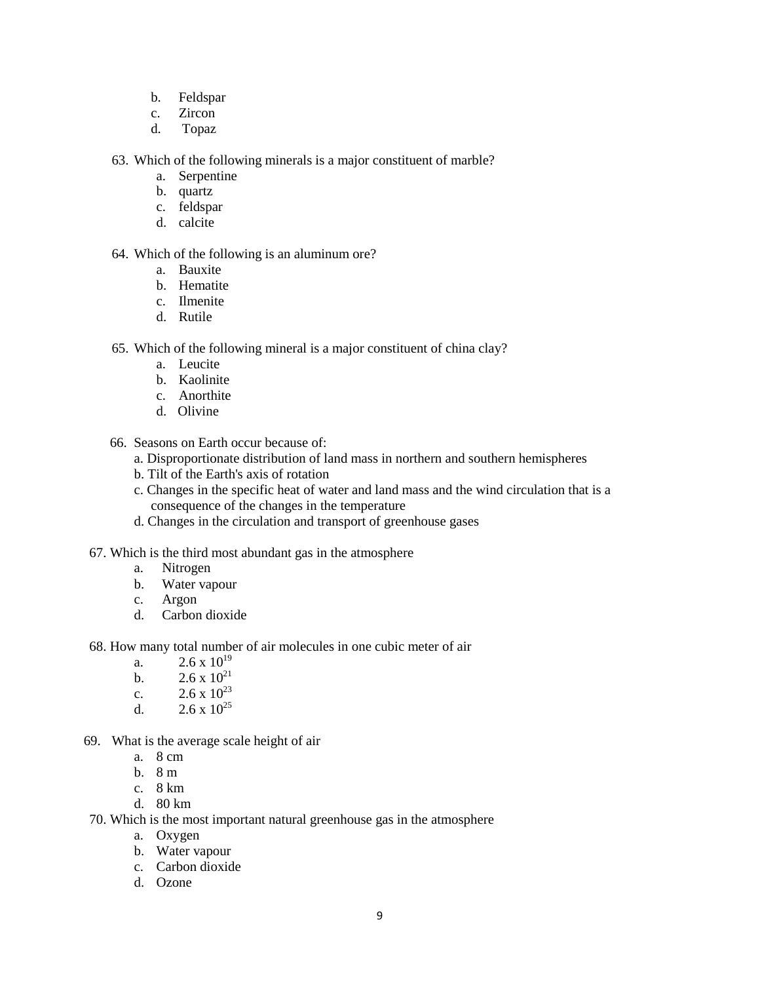- b. Feldspar
- c. Zircon
- d. Topaz

63. Which of the following minerals is a major constituent of marble?

- a. Serpentine
- b. quartz
- c. feldspar
- d. calcite

#### 64. Which of the following is an aluminum ore?

- a. Bauxite
- b. Hematite
- c. Ilmenite
- d. Rutile
- 65. Which of the following mineral is a major constituent of china clay?
	- a. Leucite
	- b. Kaolinite
	- c. Anorthite
	- d. Olivine
- 66. Seasons on Earth occur because of:
	- a. Disproportionate distribution of land mass in northern and southern hemispheres
	- b. Tilt of the Earth's axis of rotation
	- c. Changes in the specific heat of water and land mass and the wind circulation that is a consequence of the changes in the temperature
	- d. Changes in the circulation and transport of greenhouse gases

#### 67. Which is the third most abundant gas in the atmosphere

- a. Nitrogen
- b. Water vapour
- c. Argon
- d. Carbon dioxide
- 68. How many total number of air molecules in one cubic meter of air
	- a.  $2.6 \times 10^{19}$
	- b.  $2.6 \times 10^{21}$
	- c.  $2.6 \times 10^{23}$
	- d.  $2.6 \times 10^{25}$
- 69. What is the average scale height of air
	- a. 8 cm
	- b. 8 m
	- c. 8 km
	- d. 80 km
- 70. Which is the most important natural greenhouse gas in the atmosphere
	- a. Oxygen
	- b. Water vapour
	- c. Carbon dioxide
	- d. Ozone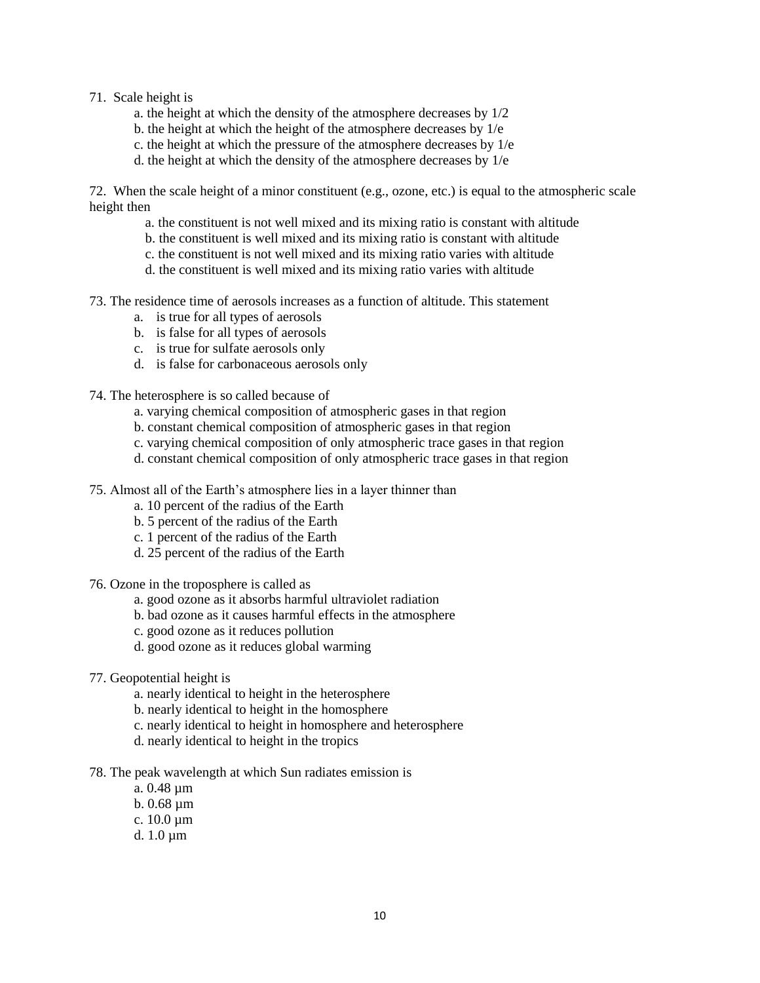#### 71. Scale height is

- a. the height at which the density of the atmosphere decreases by 1/2
- b. the height at which the height of the atmosphere decreases by 1/e
- c. the height at which the pressure of the atmosphere decreases by 1/e
- d. the height at which the density of the atmosphere decreases by 1/e

72. When the scale height of a minor constituent (e.g., ozone, etc.) is equal to the atmospheric scale height then

- a. the constituent is not well mixed and its mixing ratio is constant with altitude
- b. the constituent is well mixed and its mixing ratio is constant with altitude
- c. the constituent is not well mixed and its mixing ratio varies with altitude
- d. the constituent is well mixed and its mixing ratio varies with altitude
- 73. The residence time of aerosols increases as a function of altitude. This statement
	- a. is true for all types of aerosols
	- b. is false for all types of aerosols
	- c. is true for sulfate aerosols only
	- d. is false for carbonaceous aerosols only
- 74. The heterosphere is so called because of
	- a. varying chemical composition of atmospheric gases in that region
	- b. constant chemical composition of atmospheric gases in that region
	- c. varying chemical composition of only atmospheric trace gases in that region
	- d. constant chemical composition of only atmospheric trace gases in that region
- 75. Almost all of the Earth's atmosphere lies in a layer thinner than
	- a. 10 percent of the radius of the Earth
	- b. 5 percent of the radius of the Earth
	- c. 1 percent of the radius of the Earth
	- d. 25 percent of the radius of the Earth
- 76. Ozone in the troposphere is called as
	- a. good ozone as it absorbs harmful ultraviolet radiation
	- b. bad ozone as it causes harmful effects in the atmosphere
	- c. good ozone as it reduces pollution
	- d. good ozone as it reduces global warming
- 77. Geopotential height is
	- a. nearly identical to height in the heterosphere
	- b. nearly identical to height in the homosphere
	- c. nearly identical to height in homosphere and heterosphere
	- d. nearly identical to height in the tropics
- 78. The peak wavelength at which Sun radiates emission is
	- a. 0.48 µm
	- b. 0.68 µm
	- c. 10.0 µm
	- d. 1.0 µm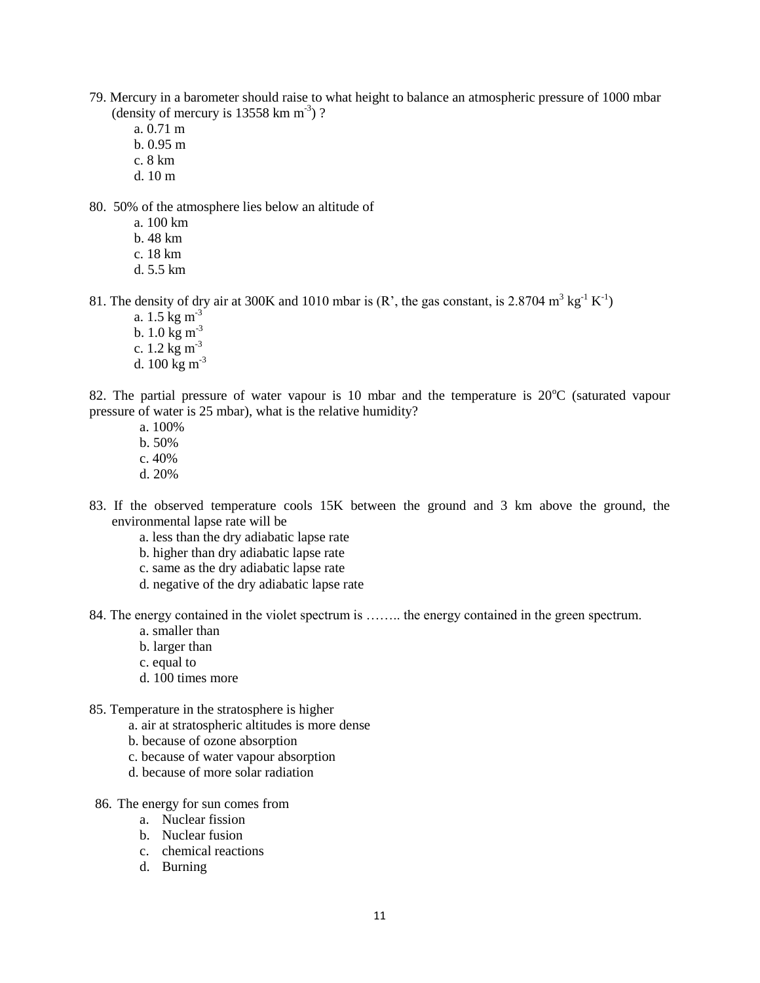- 79. Mercury in a barometer should raise to what height to balance an atmospheric pressure of 1000 mbar (density of mercury is  $13558 \text{ km m}^{-3}$ )?
	- a. 0.71 m
	- b. 0.95 m
	- c. 8 km
	- d. 10 m

80. 50% of the atmosphere lies below an altitude of

- a. 100 km
- b. 48 km
- c. 18 km
- d. 5.5 km

81. The density of dry air at 300K and 1010 mbar is  $(R<sup>3</sup>$ , the gas constant, is 2.8704 m<sup>3</sup> kg<sup>-1</sup> K<sup>-1</sup>)

- a.  $1.5 \text{ kg m}^{-3}$
- b.  $1.0 \text{ kg m}^{-3}$
- c.  $1.2 \text{ kg m}^{-3}$
- d.  $100 \text{ kg m}^{-3}$

82. The partial pressure of water vapour is 10 mbar and the temperature is  $20^{\circ}$ C (saturated vapour pressure of water is 25 mbar), what is the relative humidity?

- a. 100% b. 50% c. 40%
- d. 20%
- 83. If the observed temperature cools 15K between the ground and 3 km above the ground, the environmental lapse rate will be
	- a. less than the dry adiabatic lapse rate
	- b. higher than dry adiabatic lapse rate
	- c. same as the dry adiabatic lapse rate
	- d. negative of the dry adiabatic lapse rate
- 84. The energy contained in the violet spectrum is …….. the energy contained in the green spectrum.
	- a. smaller than
	- b. larger than
	- c. equal to
	- d. 100 times more
- 85. Temperature in the stratosphere is higher
	- a. air at stratospheric altitudes is more dense
	- b. because of ozone absorption
	- c. because of water vapour absorption
	- d. because of more solar radiation
- 86. The energy for sun comes from
	- a. Nuclear fission
	- b. Nuclear fusion
	- c. chemical reactions
	- d. Burning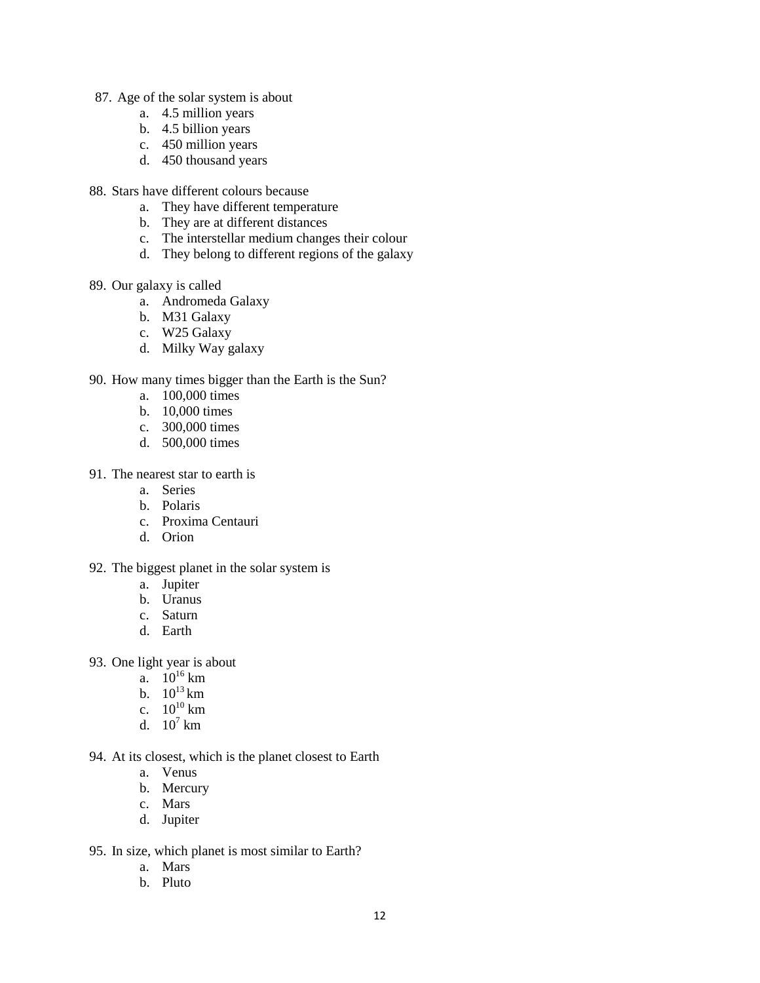- 87. Age of the solar system is about
	- a. 4.5 million years
	- b. 4.5 billion years
	- c. 450 million years
	- d. 450 thousand years
- 88. Stars have different colours because
	- a. They have different temperature
	- b. They are at different distances
	- c. The interstellar medium changes their colour
	- d. They belong to different regions of the galaxy
- 89. Our galaxy is called
	- a. Andromeda Galaxy
	- b. M31 Galaxy
	- c. W25 Galaxy
	- d. Milky Way galaxy

#### 90. How many times bigger than the Earth is the Sun?

- a. 100,000 times
- b. 10,000 times
- c. 300,000 times
- d. 500,000 times

#### 91. The nearest star to earth is

- a. Series
- b. Polaris
- c. Proxima Centauri
- d. Orion
- 92. The biggest planet in the solar system is
	- a. Jupiter
	- b. Uranus
	- c. Saturn
	- d. Earth
- 93. One light year is about
	- a.  $10^{16}$  km
	- b.  $10^{13}$  km
	- c.  $10^{10}$  km
	- d.  $10^7$  km
- 94. At its closest, which is the planet closest to Earth
	- a. Venus
	- b. Mercury
	- c. Mars
	- d. Jupiter
- 95. In size, which planet is most similar to Earth?
	- a. Mars
	- b. Pluto